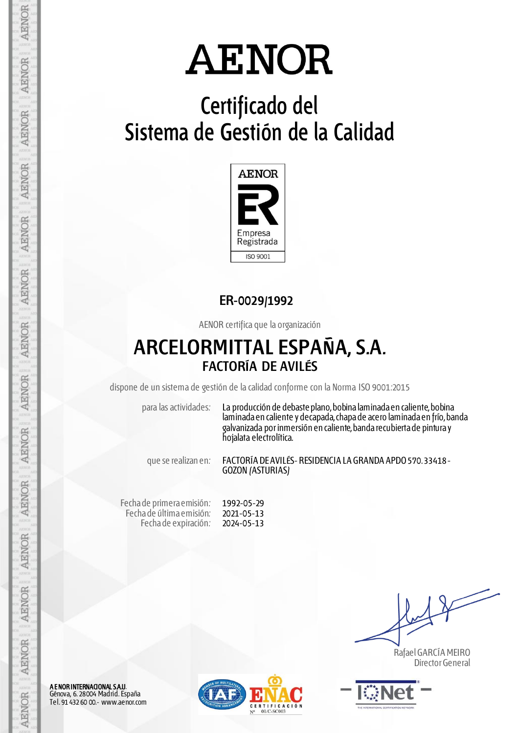# **Certificado del Sistema de Gestión de la Calidad**



### **ER-0029/1992**

AENOR certifica que la organización

## **ARCELORMITTAL ESPAÑA, S.A. FACTORÍA DE AVILÉS**

dispone de un sistema de gestión de la calidad conforme con la Norma ISO 9001:2015

para las actividades: La producción de debaste plano, bobina laminada en caliente, bobina laminada en caliente y decapada, chapa de acero laminada en frío, banda galvanizada por inmersión en caliente, banda recubierta de pintura y hojalata electrolítica.

que se realizan en: FACTORÍA DE AVILÉS- RESIDENCIA LA GRANDA APDO 570. 33418 - GOZON (ASTURIAS)

Fecha de primera emisión: Fecha de última emisión: Fecha de expiración: 1992-05-29 2021-05-13 2024-05-13

 Rafael GARCÍA MEIRO Director General



A E NOR INTERNACIONAL S.A.U. Génova, 6. 28004 Madrid. España Tel. 91 432 60 00.- www.aenor.com